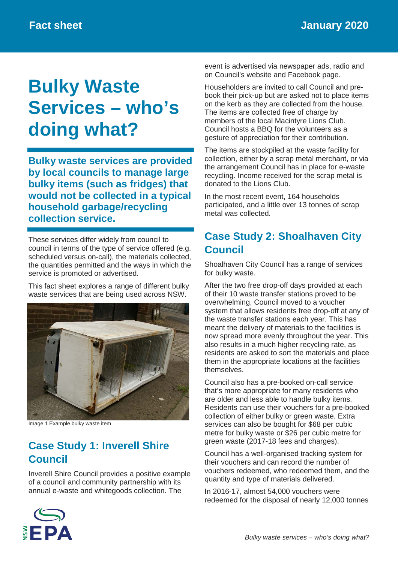# **Bulky Waste Services – who's doing what?**

**Bulky waste services are provided by local councils to manage large bulky items (such as fridges) that would not be collected in a typical household garbage/recycling collection service.**

These services differ widely from council to council in terms of the type of service offered (e.g. scheduled versus on-call), the materials collected, the quantities permitted and the ways in which the service is promoted or advertised.

This fact sheet explores a range of different bulky waste services that are being used across NSW.



Image 1 Example bulky waste item

# **Case Study 1: Inverell Shire Council**

Inverell Shire Council provides a positive example of a council and community partnership with its annual e-waste and whitegoods collection. The

event is advertised via newspaper ads, radio and on Council's website and Facebook page.

Householders are invited to call Council and prebook their pick-up but are asked not to place items on the kerb as they are collected from the house. The items are collected free of charge by members of the local Macintyre Lions Club. Council hosts a BBQ for the volunteers as a gesture of appreciation for their contribution.

The items are stockpiled at the waste facility for collection, either by a scrap metal merchant, or via the arrangement Council has in place for e-waste recycling. Income received for the scrap metal is donated to the Lions Club.

In the most recent event, 164 households participated, and a little over 13 tonnes of scrap metal was collected.

# **Case Study 2: Shoalhaven City Council**

Shoalhaven City Council has a range of services for bulky waste.

After the two free drop-off days provided at each of their 10 waste transfer stations proved to be overwhelming, Council moved to a voucher system that allows residents free drop-off at any of the waste transfer stations each year. This has meant the delivery of materials to the facilities is now spread more evenly throughout the year. This also results in a much higher recycling rate, as residents are asked to sort the materials and place them in the appropriate locations at the facilities themselves.

Council also has a pre-booked on-call service that's more appropriate for many residents who are older and less able to handle bulky items. Residents can use their vouchers for a pre-booked collection of either bulky or green waste. Extra services can also be bought for \$68 per cubic metre for bulky waste or \$26 per cubic metre for green waste (2017-18 fees and charges).

Council has a well-organised tracking system for their vouchers and can record the number of vouchers redeemed, who redeemed them, and the quantity and type of materials delivered.

In 2016-17, almost 54,000 vouchers were redeemed for the disposal of nearly 12,000 tonnes

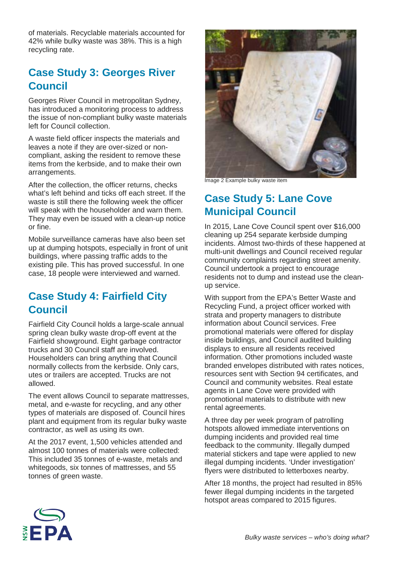of materials. Recyclable materials accounted for 42% while bulky waste was 38%. This is a high recycling rate.

#### **Case Study 3: Georges River Council**

Georges River Council in metropolitan Sydney, has introduced a monitoring process to address the issue of non-compliant bulky waste materials left for Council collection.

A waste field officer inspects the materials and leaves a note if they are over-sized or noncompliant, asking the resident to remove these items from the kerbside, and to make their own arrangements.

After the collection, the officer returns, checks what's left behind and ticks off each street. If the waste is still there the following week the officer will speak with the householder and warn them. They may even be issued with a clean-up notice or fine.

Mobile surveillance cameras have also been set up at dumping hotspots, especially in front of unit buildings, where passing traffic adds to the existing pile. This has proved successful. In one case, 18 people were interviewed and warned.

### **Case Study 4: Fairfield City Council**

Fairfield City Council holds a large-scale annual spring clean bulky waste drop-off event at the Fairfield showground. Eight garbage contractor trucks and 30 Council staff are involved. Householders can bring anything that Council normally collects from the kerbside. Only cars, utes or trailers are accepted. Trucks are not allowed.

The event allows Council to separate mattresses, metal, and e-waste for recycling, and any other types of materials are disposed of. Council hires plant and equipment from its regular bulky waste contractor, as well as using its own.

At the 2017 event, 1,500 vehicles attended and almost 100 tonnes of materials were collected: This included 35 tonnes of e-waste, metals and whitegoods, six tonnes of mattresses, and 55 tonnes of green waste.



Image 2 Example bulky waste item

# **Case Study 5: Lane Cove Municipal Council**

In 2015, Lane Cove Council spent over \$16,000 cleaning up 254 separate kerbside dumping incidents. Almost two-thirds of these happened at multi-unit dwellings and Council received regular community complaints regarding street amenity. Council undertook a project to encourage residents not to dump and instead use the cleanup service.

With support from the EPA's Better Waste and Recycling Fund, a project officer worked with strata and property managers to distribute information about Council services. Free promotional materials were offered for display inside buildings, and Council audited building displays to ensure all residents received information. Other promotions included waste branded envelopes distributed with rates notices, resources sent with Section 94 certificates, and Council and community websites. Real estate agents in Lane Cove were provided with promotional materials to distribute with new rental agreements.

A three day per week program of patrolling hotspots allowed immediate interventions on dumping incidents and provided real time feedback to the community. Illegally dumped material stickers and tape were applied to new illegal dumping incidents. 'Under investigation' flyers were distributed to letterboxes nearby.

After 18 months, the project had resulted in 85% fewer illegal dumping incidents in the targeted hotspot areas compared to 2015 figures.